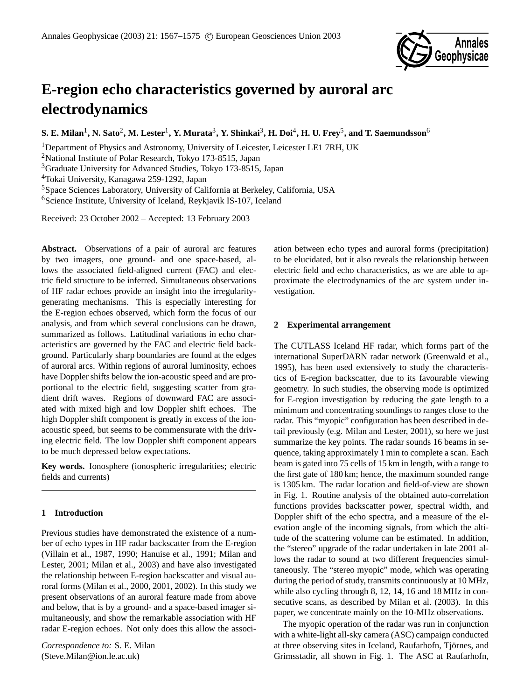

# **E-region echo characteristics governed by auroral arc electrodynamics**

 ${\bf S.~E.~Milan^1, N.~Sato^2, M.~Lester^1, Y.~Murata^3, Y.~Shinkai^3, H.~Doi^4, H.~U.~Frey^5, and T.~Saemundsson^6$ 

<sup>1</sup>Department of Physics and Astronomy, University of Leicester, Leicester LE1 7RH, UK

<sup>2</sup>National Institute of Polar Research, Tokyo 173-8515, Japan

<sup>3</sup>Graduate University for Advanced Studies, Tokyo 173-8515, Japan

<sup>4</sup>Tokai University, Kanagawa 259-1292, Japan

<sup>5</sup>Space Sciences Laboratory, University of California at Berkeley, California, USA

<sup>6</sup>Science Institute, University of Iceland, Reykjavik IS-107, Iceland

Received: 23 October 2002 – Accepted: 13 February 2003

**Abstract.** Observations of a pair of auroral arc features by two imagers, one ground- and one space-based, allows the associated field-aligned current (FAC) and electric field structure to be inferred. Simultaneous observations of HF radar echoes provide an insight into the irregularitygenerating mechanisms. This is especially interesting for the E-region echoes observed, which form the focus of our analysis, and from which several conclusions can be drawn, summarized as follows. Latitudinal variations in echo characteristics are governed by the FAC and electric field background. Particularly sharp boundaries are found at the edges of auroral arcs. Within regions of auroral luminosity, echoes have Doppler shifts below the ion-acoustic speed and are proportional to the electric field, suggesting scatter from gradient drift waves. Regions of downward FAC are associated with mixed high and low Doppler shift echoes. The high Doppler shift component is greatly in excess of the ionacoustic speed, but seems to be commensurate with the driving electric field. The low Doppler shift component appears to be much depressed below expectations.

**Key words.** Ionosphere (ionospheric irregularities; electric fields and currents)

# **1 Introduction**

Previous studies have demonstrated the existence of a number of echo types in HF radar backscatter from the E-region (Villain et al., 1987, 1990; Hanuise et al., 1991; Milan and Lester, 2001; Milan et al., 2003) and have also investigated the relationship between E-region backscatter and visual auroral forms (Milan et al., 2000, 2001, 2002). In this study we present observations of an auroral feature made from above and below, that is by a ground- and a space-based imager simultaneously, and show the remarkable association with HF radar E-region echoes. Not only does this allow the association between echo types and auroral forms (precipitation) to be elucidated, but it also reveals the relationship between electric field and echo characteristics, as we are able to approximate the electrodynamics of the arc system under investigation.

# **2 Experimental arrangement**

The CUTLASS Iceland HF radar, which forms part of the international SuperDARN radar network (Greenwald et al., 1995), has been used extensively to study the characteristics of E-region backscatter, due to its favourable viewing geometry. In such studies, the observing mode is optimized for E-region investigation by reducing the gate length to a minimum and concentrating soundings to ranges close to the radar. This "myopic" configuration has been described in detail previously (e.g. Milan and Lester, 2001), so here we just summarize the key points. The radar sounds 16 beams in sequence, taking approximately 1 min to complete a scan. Each beam is gated into 75 cells of 15 km in length, with a range to the first gate of 180 km; hence, the maximum sounded range is 1305 km. The radar location and field-of-view are shown in Fig. 1. Routine analysis of the obtained auto-correlation functions provides backscatter power, spectral width, and Doppler shift of the echo spectra, and a measure of the elevation angle of the incoming signals, from which the altitude of the scattering volume can be estimated. In addition, the "stereo" upgrade of the radar undertaken in late 2001 allows the radar to sound at two different frequencies simultaneously. The "stereo myopic" mode, which was operating during the period of study, transmits continuously at 10 MHz, while also cycling through 8, 12, 14, 16 and 18 MHz in consecutive scans, as described by Milan et al. (2003). In this paper, we concentrate mainly on the 10-MHz observations.

The myopic operation of the radar was run in conjunction with a white-light all-sky camera (ASC) campaign conducted at three observing sites in Iceland, Raufarhofn, Tjornes, and ¨ Grimsstadir, all shown in Fig. 1. The ASC at Raufarhofn,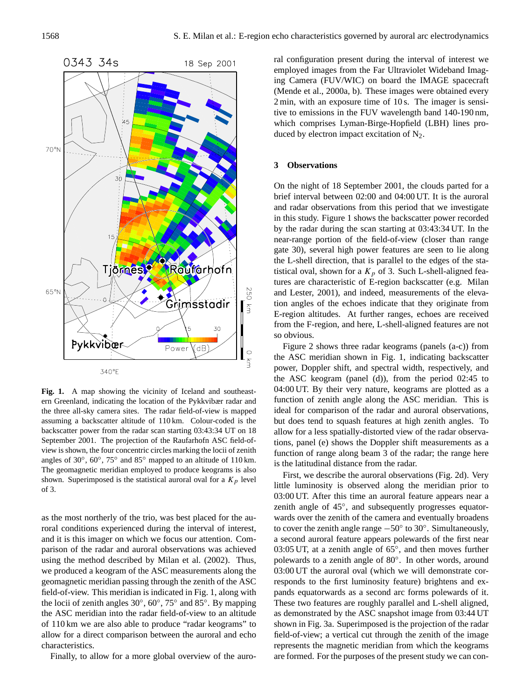

**Fig. 1.** A map showing the vicinity of Iceland and southeastern Greenland, indicating the location of the Pykkvibær radar and the three all-sky camera sites. The radar field-of-view is mapped assuming a backscatter altitude of 110 km. Colour-coded is the backscatter power from the radar scan starting 03:43:34 UT on 18 September 2001. The projection of the Raufarhofn ASC field-ofview is shown, the four concentric circles marking the locii of zenith angles of 30◦ , 60◦ , 75◦ and 85◦ mapped to an altitude of 110 km. The geomagnetic meridian employed to produce keograms is also shown. Superimposed is the statistical auroral oval for a  $K_p$  level of 3.

as the most northerly of the trio, was best placed for the auroral conditions experienced during the interval of interest, and it is this imager on which we focus our attention. Comparison of the radar and auroral observations was achieved using the method described by Milan et al. (2002). Thus, we produced a keogram of the ASC measurements along the geomagnetic meridian passing through the zenith of the ASC field-of-view. This meridian is indicated in Fig. 1, along with the locii of zenith angles 30°, 60°, 75° and 85°. By mapping the ASC meridian into the radar field-of-view to an altitude of 110 km we are also able to produce "radar keograms" to allow for a direct comparison between the auroral and echo characteristics.

Finally, to allow for a more global overview of the auro-

ral configuration present during the interval of interest we employed images from the Far Ultraviolet Wideband Imaging Camera (FUV/WIC) on board the IMAGE spacecraft (Mende et al., 2000a, b). These images were obtained every 2 min, with an exposure time of 10 s. The imager is sensitive to emissions in the FUV wavelength band 140-190 nm, which comprises Lyman-Birge-Hopfield (LBH) lines produced by electron impact excitation of  $N_2$ .

#### **3 Observations**

On the night of 18 September 2001, the clouds parted for a brief interval between 02:00 and 04:00 UT. It is the auroral and radar observations from this period that we investigate in this study. Figure 1 shows the backscatter power recorded by the radar during the scan starting at 03:43:34 UT. In the near-range portion of the field-of-view (closer than range gate 30), several high power features are seen to lie along the L-shell direction, that is parallel to the edges of the statistical oval, shown for a  $K_p$  of 3. Such L-shell-aligned features are characteristic of E-region backscatter (e.g. Milan and Lester, 2001), and indeed, measurements of the elevation angles of the echoes indicate that they originate from E-region altitudes. At further ranges, echoes are received from the F-region, and here, L-shell-aligned features are not so obvious.

Figure 2 shows three radar keograms (panels (a-c)) from the ASC meridian shown in Fig. 1, indicating backscatter power, Doppler shift, and spectral width, respectively, and the ASC keogram (panel (d)), from the period 02:45 to 04:00 UT. By their very nature, keograms are plotted as a function of zenith angle along the ASC meridian. This is ideal for comparison of the radar and auroral observations, but does tend to squash features at high zenith angles. To allow for a less spatially-distorted view of the radar observations, panel (e) shows the Doppler shift measurements as a function of range along beam 3 of the radar; the range here is the latitudinal distance from the radar.

First, we describe the auroral observations (Fig. 2d). Very little luminosity is observed along the meridian prior to 03:00 UT. After this time an auroral feature appears near a zenith angle of 45°, and subsequently progresses equatorwards over the zenith of the camera and eventually broadens to cover the zenith angle range  $-50^\circ$  to 30°. Simultaneously, a second auroral feature appears polewards of the first near 03:05 UT, at a zenith angle of 65°, and then moves further polewards to a zenith angle of 80◦ . In other words, around 03:00 UT the auroral oval (which we will demonstrate corresponds to the first luminosity feature) brightens and expands equatorwards as a second arc forms polewards of it. These two features are roughly parallel and L-shell aligned, as demonstrated by the ASC snapshot image from 03:44 UT shown in Fig. 3a. Superimposed is the projection of the radar field-of-view; a vertical cut through the zenith of the image represents the magnetic meridian from which the keograms are formed. For the purposes of the present study we can con-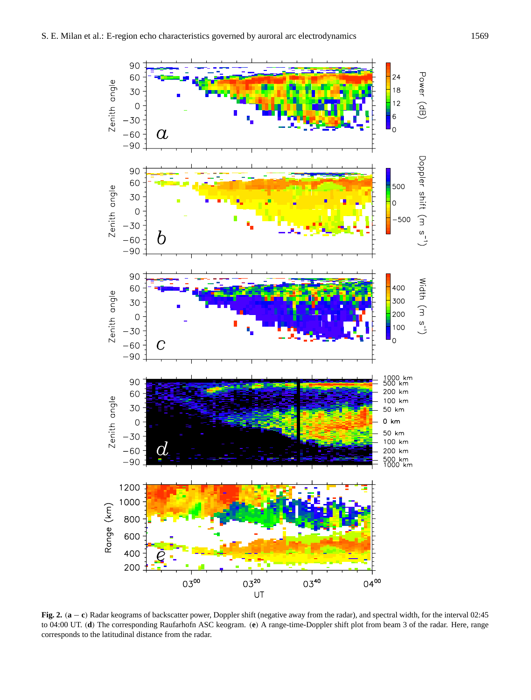

**Fig. 2.** (**a** − **c**) Radar keograms of backscatter power, Doppler shift (negative away from the radar), and spectral width, for the interval 02:45 to 04:00 UT. (**d**) The corresponding Raufarhofn ASC keogram. (**e**) A range-time-Doppler shift plot from beam 3 of the radar. Here, range corresponds to the latitudinal distance from the radar.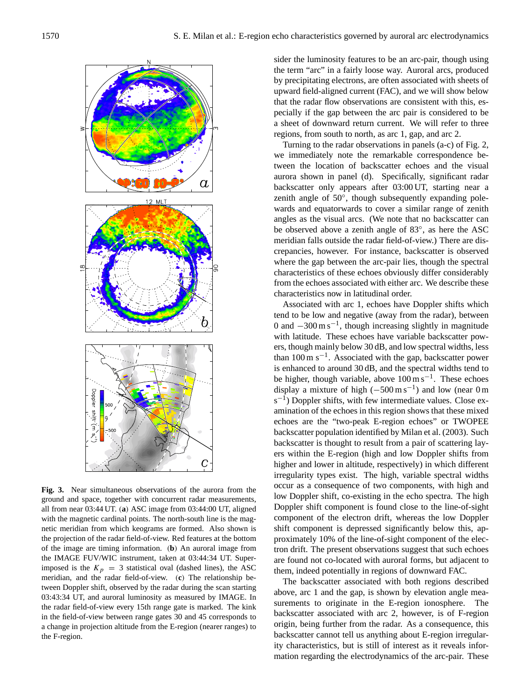

**Fig. 3.** Near simultaneous observations of the aurora from the ground and space, together with concurrent radar measurements, all from near 03:44 UT. (**a**) ASC image from 03:44:00 UT, aligned with the magnetic cardinal points. The north-south line is the magnetic meridian from which keograms are formed. Also shown is the projection of the radar field-of-view. Red features at the bottom of the image are timing information. (**b**) An auroral image from the IMAGE FUV/WIC instrument, taken at 03:44:34 UT. Superimposed is the  $K_p = 3$  statistical oval (dashed lines), the ASC meridian, and the radar field-of-view. (**c**) The relationship between Doppler shift, observed by the radar during the scan starting 03:43:34 UT, and auroral luminosity as measured by IMAGE. In the radar field-of-view every 15th range gate is marked. The kink in the field-of-view between range gates 30 and 45 corresponds to a change in projection altitude from the E-region (nearer ranges) to the F-region.

sider the luminosity features to be an arc-pair, though using the term "arc" in a fairly loose way. Auroral arcs, produced by precipitating electrons, are often associated with sheets of upward field-aligned current (FAC), and we will show below that the radar flow observations are consistent with this, especially if the gap between the arc pair is considered to be a sheet of downward return current. We will refer to three regions, from south to north, as arc 1, gap, and arc 2.

Turning to the radar observations in panels (a-c) of Fig. 2, we immediately note the remarkable correspondence between the location of backscatter echoes and the visual aurora shown in panel (d). Specifically, significant radar backscatter only appears after 03:00 UT, starting near a zenith angle of 50°, though subsequently expanding polewards and equatorwards to cover a similar range of zenith angles as the visual arcs. (We note that no backscatter can be observed above a zenith angle of 83◦ , as here the ASC meridian falls outside the radar field-of-view.) There are discrepancies, however. For instance, backscatter is observed where the gap between the arc-pair lies, though the spectral characteristics of these echoes obviously differ considerably from the echoes associated with either arc. We describe these characteristics now in latitudinal order.

Associated with arc 1, echoes have Doppler shifts which tend to be low and negative (away from the radar), between 0 and −300 m s−<sup>1</sup> , though increasing slightly in magnitude with latitude. These echoes have variable backscatter powers, though mainly below 30 dB, and low spectral widths, less than 100 m s−<sup>1</sup> . Associated with the gap, backscatter power is enhanced to around 30 dB, and the spectral widths tend to be higher, though variable, above  $100 \text{ m s}^{-1}$ . These echoes display a mixture of high  $(-500 \text{ m s}^{-1})$  and low (near 0 m  $s^{-1}$ ) Doppler shifts, with few intermediate values. Close examination of the echoes in this region shows that these mixed echoes are the "two-peak E-region echoes" or TWOPEE backscatter population identified by Milan et al. (2003). Such backscatter is thought to result from a pair of scattering layers within the E-region (high and low Doppler shifts from higher and lower in altitude, respectively) in which different irregularity types exist. The high, variable spectral widths occur as a consequence of two components, with high and low Doppler shift, co-existing in the echo spectra. The high Doppler shift component is found close to the line-of-sight component of the electron drift, whereas the low Doppler shift component is depressed significantly below this, approximately 10% of the line-of-sight component of the electron drift. The present observations suggest that such echoes are found not co-located with auroral forms, but adjacent to them, indeed potentially in regions of downward FAC.

The backscatter associated with both regions described above, arc 1 and the gap, is shown by elevation angle measurements to originate in the E-region ionosphere. The backscatter associated with arc 2, however, is of F-region origin, being further from the radar. As a consequence, this backscatter cannot tell us anything about E-region irregularity characteristics, but is still of interest as it reveals information regarding the electrodynamics of the arc-pair. These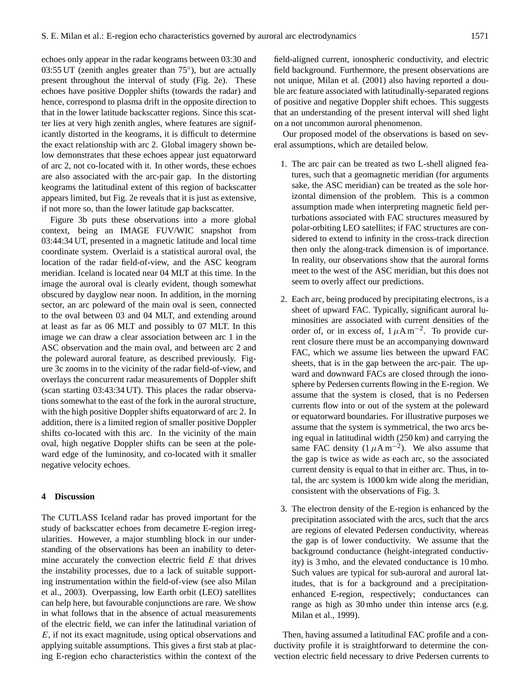echoes only appear in the radar keograms between 03:30 and 03:55 UT (zenith angles greater than 75°), but are actually present throughout the interval of study (Fig. 2e). These echoes have positive Doppler shifts (towards the radar) and hence, correspond to plasma drift in the opposite direction to that in the lower latitude backscatter regions. Since this scatter lies at very high zenith angles, where features are significantly distorted in the keograms, it is difficult to determine the exact relationship with arc 2. Global imagery shown below demonstrates that these echoes appear just equatorward of arc 2, not co-located with it. In other words, these echoes are also associated with the arc-pair gap. In the distorting keograms the latitudinal extent of this region of backscatter appears limited, but Fig. 2e reveals that it is just as extensive, if not more so, than the lower latitude gap backscatter.

Figure 3b puts these observations into a more global context, being an IMAGE FUV/WIC snapshot from 03:44:34 UT, presented in a magnetic latitude and local time coordinate system. Overlaid is a statistical auroral oval, the location of the radar field-of-view, and the ASC keogram meridian. Iceland is located near 04 MLT at this time. In the image the auroral oval is clearly evident, though somewhat obscured by dayglow near noon. In addition, in the morning sector, an arc poleward of the main oval is seen, connected to the oval between 03 and 04 MLT, and extending around at least as far as 06 MLT and possibly to 07 MLT. In this image we can draw a clear association between arc 1 in the ASC observation and the main oval, and between arc 2 and the poleward auroral feature, as described previously. Figure 3c zooms in to the vicinity of the radar field-of-view, and overlays the concurrent radar measurements of Doppler shift (scan starting 03:43:34 UT). This places the radar observations somewhat to the east of the fork in the auroral structure, with the high positive Doppler shifts equatorward of arc 2. In addition, there is a limited region of smaller positive Doppler shifts co-located with this arc. In the vicinity of the main oval, high negative Doppler shifts can be seen at the poleward edge of the luminosity, and co-located with it smaller negative velocity echoes.

## **4 Discussion**

The CUTLASS Iceland radar has proved important for the study of backscatter echoes from decametre E-region irregularities. However, a major stumbling block in our understanding of the observations has been an inability to determine accurately the convection electric field  $E$  that drives the instability processes, due to a lack of suitable supporting instrumentation within the field-of-view (see also Milan et al., 2003). Overpassing, low Earth orbit (LEO) satellites can help here, but favourable conjunctions are rare. We show in what follows that in the absence of actual measurements of the electric field, we can infer the latitudinal variation of E, if not its exact magnitude, using optical observations and applying suitable assumptions. This gives a first stab at placing E-region echo characteristics within the context of the

field-aligned current, ionospheric conductivity, and electric field background. Furthermore, the present observations are not unique, Milan et al. (2001) also having reported a double arc feature associated with latitudinally-separated regions of positive and negative Doppler shift echoes. This suggests that an understanding of the present interval will shed light on a not uncommon auroral phenomenon.

Our proposed model of the observations is based on several assumptions, which are detailed below.

- 1. The arc pair can be treated as two L-shell aligned features, such that a geomagnetic meridian (for arguments sake, the ASC meridian) can be treated as the sole horizontal dimension of the problem. This is a common assumption made when interpreting magnetic field perturbations associated with FAC structures measured by polar-orbiting LEO satellites; if FAC structures are considered to extend to infinity in the cross-track direction then only the along-track dimension is of importance. In reality, our observations show that the auroral forms meet to the west of the ASC meridian, but this does not seem to overly affect our predictions.
- 2. Each arc, being produced by precipitating electrons, is a sheet of upward FAC. Typically, significant auroral luminosities are associated with current densities of the order of, or in excess of,  $1 \mu A m^{-2}$ . To provide current closure there must be an accompanying downward FAC, which we assume lies between the upward FAC sheets, that is in the gap between the arc-pair. The upward and downward FACs are closed through the ionosphere by Pedersen currents flowing in the E-region. We assume that the system is closed, that is no Pedersen currents flow into or out of the system at the poleward or equatorward boundaries. For illustrative purposes we assume that the system is symmetrical, the two arcs being equal in latitudinal width (250 km) and carrying the same FAC density  $(1 \mu A m^{-2})$ . We also assume that the gap is twice as wide as each arc, so the associated current density is equal to that in either arc. Thus, in total, the arc system is 1000 km wide along the meridian, consistent with the observations of Fig. 3.
- 3. The electron density of the E-region is enhanced by the precipitation associated with the arcs, such that the arcs are regions of elevated Pedersen conductivity, whereas the gap is of lower conductivity. We assume that the background conductance (height-integrated conductivity) is 3 mho, and the elevated conductance is 10 mho. Such values are typical for sub-auroral and auroral latitudes, that is for a background and a precipitationenhanced E-region, respectively; conductances can range as high as 30 mho under thin intense arcs (e.g. Milan et al., 1999).

Then, having assumed a latitudinal FAC profile and a conductivity profile it is straightforward to determine the convection electric field necessary to drive Pedersen currents to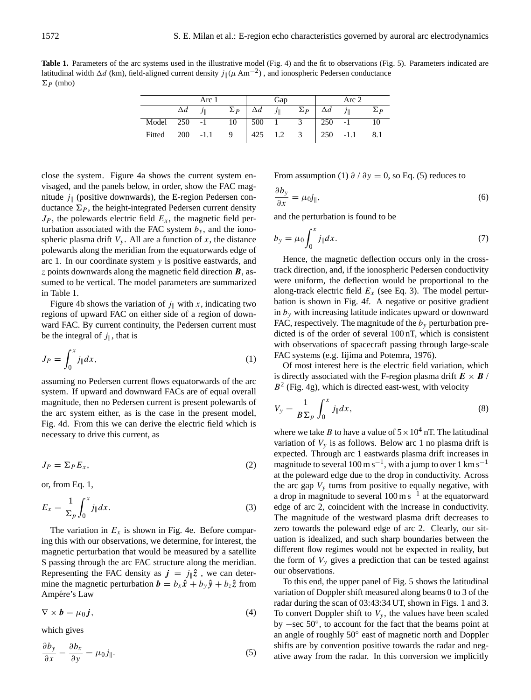Table 1. Parameters of the arc systems used in the illustrative model (Fig. 4) and the fit to observations (Fig. 5). Parameters indicated are latitudinal width  $\Delta d$  (km), field-aligned current density  $j\mu(\mu \text{ Am}^{-2})$ , and ionospheric Pedersen conductance  $\Sigma_P$  (mho)

|  | Arc 1                      |  | Gap |  | Arc 2                                                                                  |  |
|--|----------------------------|--|-----|--|----------------------------------------------------------------------------------------|--|
|  | $\Delta d$ $j_{\parallel}$ |  |     |  | $\Sigma_P$ $\Delta d$ $j_{\parallel}$ $\Sigma_P$ $\Delta d$ $j_{\parallel}$ $\Sigma_P$ |  |
|  |                            |  |     |  | Model 250 -1 10 500 1 3 250 -1 10                                                      |  |
|  |                            |  |     |  | Fitted 200 -1.1 9 425 1.2 3 250 -1.1 8.1                                               |  |

close the system. Figure 4a shows the current system envisaged, and the panels below, in order, show the FAC magnitude  $j_{\parallel}$  (positive downwards), the E-region Pedersen conductance  $\Sigma_P$ , the height-integrated Pedersen current density  $J_P$ , the polewards electric field  $E_x$ , the magnetic field perturbation associated with the FAC system  $b_y$ , and the ionospheric plasma drift  $V_y$ . All are a function of x, the distance polewards along the meridian from the equatorwards edge of arc 1. In our coordinate system y is positive eastwards, and  $\zeta$  points downwards along the magnetic field direction  $\boldsymbol{B}$ , assumed to be vertical. The model parameters are summarized in Table 1.

Figure 4b shows the variation of  $j_{\parallel}$  with x, indicating two regions of upward FAC on either side of a region of downward FAC. By current continuity, the Pedersen current must be the integral of  $j_{\parallel}$ , that is

$$
J_P = \int_0^x j_{\parallel} dx,\tag{1}
$$

assuming no Pedersen current flows equatorwards of the arc system. If upward and downward FACs are of equal overall magnitude, then no Pedersen current is present polewards of the arc system either, as is the case in the present model, Fig. 4d. From this we can derive the electric field which is necessary to drive this current, as

$$
J_P = \sum_P E_x,\tag{2}
$$

or, from Eq. 1,

$$
E_x = \frac{1}{\Sigma_p} \int_0^x j_{\parallel} dx.
$$
 (3)

The variation in  $E_x$  is shown in Fig. 4e. Before comparing this with our observations, we determine, for interest, the magnetic perturbation that would be measured by a satellite S passing through the arc FAC structure along the meridian. Representing the FAC density as  $j = j_{\parallel} \hat{z}$ , we can determine the magnetic perturbation  $\mathbf{b} = b_x \hat{\mathbf{x}} + b_y \hat{\mathbf{y}} + b_z \hat{\mathbf{z}}$  from Ampére's Law

$$
\nabla \times \boldsymbol{b} = \mu_0 \boldsymbol{j},\tag{4}
$$

which gives

$$
\frac{\partial b_y}{\partial x} - \frac{\partial b_x}{\partial y} = \mu_0 j_{\parallel}.\tag{5}
$$

From assumption (1)  $\partial / \partial y = 0$ , so Eq. (5) reduces to

$$
\frac{\partial b_y}{\partial x} = \mu_0 j_{\parallel},\tag{6}
$$

and the perturbation is found to be

$$
b_y = \mu_0 \int_0^x j_{\parallel} dx. \tag{7}
$$

Hence, the magnetic deflection occurs only in the crosstrack direction, and, if the ionospheric Pedersen conductivity were uniform, the deflection would be proportional to the along-track electric field  $E_x$  (see Eq. 3). The model perturbation is shown in Fig. 4f. A negative or positive gradient in  $b_y$  with increasing latitude indicates upward or downward FAC, respectively. The magnitude of the  $b<sub>y</sub>$  perturbation predicted is of the order of several 100 nT, which is consistent with observations of spacecraft passing through large-scale FAC systems (e.g. Iijima and Potemra, 1976).

Of most interest here is the electric field variation, which is directly associated with the F-region plasma drift  $E \times B$  /  $B<sup>2</sup>$  (Fig. 4g), which is directed east-west, with velocity

$$
V_{y} = \frac{1}{B\Sigma_{p}} \int_{0}^{x} j_{\parallel} dx, \qquad (8)
$$

where we take B to have a value of  $5 \times 10^4$  nT. The latitudinal variation of  $V_y$  is as follows. Below arc 1 no plasma drift is expected. Through arc 1 eastwards plasma drift increases in magnitude to several  $100 \text{ m s}^{-1}$ , with a jump to over  $1 \text{ km s}^{-1}$ at the poleward edge due to the drop in conductivity. Across the arc gap  $V<sub>y</sub>$  turns from positive to equally negative, with a drop in magnitude to several 100 m s−<sup>1</sup> at the equatorward edge of arc 2, coincident with the increase in conductivity. The magnitude of the westward plasma drift decreases to zero towards the poleward edge of arc 2. Clearly, our situation is idealized, and such sharp boundaries between the different flow regimes would not be expected in reality, but the form of  $V_y$  gives a prediction that can be tested against our observations.

To this end, the upper panel of Fig. 5 shows the latitudinal variation of Doppler shift measured along beams 0 to 3 of the radar during the scan of 03:43:34 UT, shown in Figs. 1 and 3. To convert Doppler shift to  $V_y$ , the values have been scaled by −sec 50◦ , to account for the fact that the beams point at an angle of roughly 50° east of magnetic north and Doppler shifts are by convention positive towards the radar and negative away from the radar. In this conversion we implicitly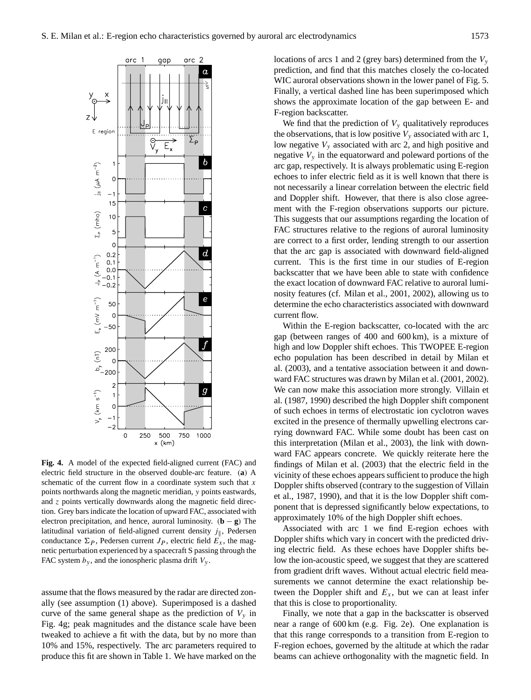

**Fig. 4.** A model of the expected field-aligned current (FAC) and electric field structure in the observed double-arc feature. (**a**) A schematic of the current flow in a coordinate system such that  $x$ points northwards along the magnetic meridian, y points eastwards, and z points vertically downwards along the magnetic field direction. Grey bars indicate the location of upward FAC, associated with electron precipitation, and hence, auroral luminosity. (**b** − **g**) The latitudinal variation of field-aligned current density  $j_{\parallel}$ , Pedersen conductance  $\Sigma_P$ , Pedersen current  $J_P$ , electric field  $E_x$ , the magnetic perturbation experienced by a spacecraft S passing through the FAC system  $b_y$ , and the ionospheric plasma drift  $V_y$ .

assume that the flows measured by the radar are directed zonally (see assumption (1) above). Superimposed is a dashed curve of the same general shape as the prediction of  $V_y$  in Fig. 4g; peak magnitudes and the distance scale have been tweaked to achieve a fit with the data, but by no more than 10% and 15%, respectively. The arc parameters required to produce this fit are shown in Table 1. We have marked on the locations of arcs 1 and 2 (grey bars) determined from the  $V<sub>y</sub>$ prediction, and find that this matches closely the co-located WIC auroral observations shown in the lower panel of Fig. 5. Finally, a vertical dashed line has been superimposed which shows the approximate location of the gap between E- and F-region backscatter.

We find that the prediction of  $V_y$  qualitatively reproduces the observations, that is low positive  $V_y$  associated with arc 1, low negative  $V_y$  associated with arc 2, and high positive and negative  $V_y$  in the equatorward and poleward portions of the arc gap, respectively. It is always problematic using E-region echoes to infer electric field as it is well known that there is not necessarily a linear correlation between the electric field and Doppler shift. However, that there is also close agreement with the F-region observations supports our picture. This suggests that our assumptions regarding the location of FAC structures relative to the regions of auroral luminosity are correct to a first order, lending strength to our assertion that the arc gap is associated with downward field-aligned current. This is the first time in our studies of E-region backscatter that we have been able to state with confidence the exact location of downward FAC relative to auroral luminosity features (cf. Milan et al., 2001, 2002), allowing us to determine the echo characteristics associated with downward current flow.

Within the E-region backscatter, co-located with the arc gap (between ranges of 400 and 600 km), is a mixture of high and low Doppler shift echoes. This TWOPEE E-region echo population has been described in detail by Milan et al. (2003), and a tentative association between it and downward FAC structures was drawn by Milan et al. (2001, 2002). We can now make this association more strongly. Villain et al. (1987, 1990) described the high Doppler shift component of such echoes in terms of electrostatic ion cyclotron waves excited in the presence of thermally upwelling electrons carrying downward FAC. While some doubt has been cast on this interpretation (Milan et al., 2003), the link with downward FAC appears concrete. We quickly reiterate here the findings of Milan et al. (2003) that the electric field in the vicinity of these echoes appears sufficient to produce the high Doppler shifts observed (contrary to the suggestion of Villain et al., 1987, 1990), and that it is the low Doppler shift component that is depressed significantly below expectations, to approximately 10% of the high Doppler shift echoes.

Associated with arc 1 we find E-region echoes with Doppler shifts which vary in concert with the predicted driving electric field. As these echoes have Doppler shifts below the ion-acoustic speed, we suggest that they are scattered from gradient drift waves. Without actual electric field measurements we cannot determine the exact relationship between the Doppler shift and  $E_x$ , but we can at least infer that this is close to proportionality.

Finally, we note that a gap in the backscatter is observed near a range of 600 km (e.g. Fig. 2e). One explanation is that this range corresponds to a transition from E-region to F-region echoes, governed by the altitude at which the radar beams can achieve orthogonality with the magnetic field. In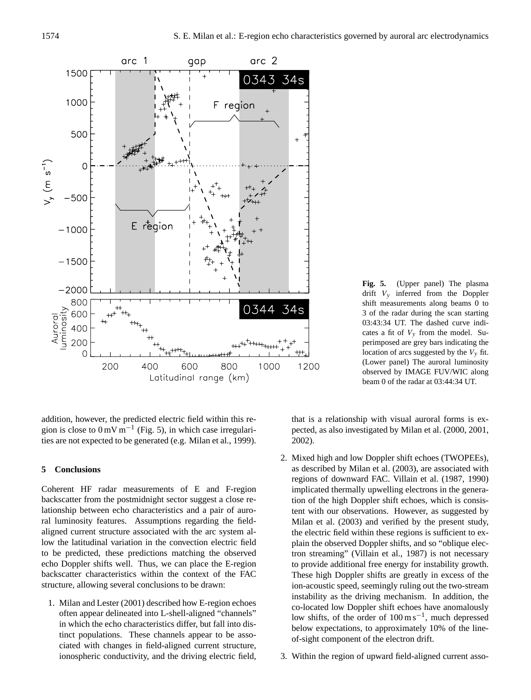

**Fig. 5.** (Upper panel) The plasma drift  $V_v$  inferred from the Doppler shift measurements along beams 0 to 3 of the radar during the scan starting 03:43:34 UT. The dashed curve indicates a fit of  $V<sub>v</sub>$  from the model. Superimposed are grey bars indicating the location of arcs suggested by the  $V<sub>v</sub>$  fit. (Lower panel) The auroral luminosity observed by IMAGE FUV/WIC along beam 0 of the radar at 03:44:34 UT.

addition, however, the predicted electric field within this region is close to  $0 \text{ mV m}^{-1}$  (Fig. 5), in which case irregularities are not expected to be generated (e.g. Milan et al., 1999).

## **5 Conclusions**

Coherent HF radar measurements of E and F-region backscatter from the postmidnight sector suggest a close relationship between echo characteristics and a pair of auroral luminosity features. Assumptions regarding the fieldaligned current structure associated with the arc system allow the latitudinal variation in the convection electric field to be predicted, these predictions matching the observed echo Doppler shifts well. Thus, we can place the E-region backscatter characteristics within the context of the FAC structure, allowing several conclusions to be drawn:

1. Milan and Lester (2001) described how E-region echoes often appear delineated into L-shell-aligned "channels" in which the echo characteristics differ, but fall into distinct populations. These channels appear to be associated with changes in field-aligned current structure, ionospheric conductivity, and the driving electric field,

that is a relationship with visual auroral forms is expected, as also investigated by Milan et al. (2000, 2001, 2002).

- 2. Mixed high and low Doppler shift echoes (TWOPEEs), as described by Milan et al. (2003), are associated with regions of downward FAC. Villain et al. (1987, 1990) implicated thermally upwelling electrons in the generation of the high Doppler shift echoes, which is consistent with our observations. However, as suggested by Milan et al. (2003) and verified by the present study, the electric field within these regions is sufficient to explain the observed Doppler shifts, and so "oblique electron streaming" (Villain et al., 1987) is not necessary to provide additional free energy for instability growth. These high Doppler shifts are greatly in excess of the ion-acoustic speed, seemingly ruling out the two-stream instability as the driving mechanism. In addition, the co-located low Doppler shift echoes have anomalously low shifts, of the order of  $100 \text{ m s}^{-1}$ , much depressed below expectations, to approximately 10% of the lineof-sight component of the electron drift.
- 3. Within the region of upward field-aligned current asso-